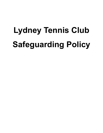# **Lydney Tennis Club Safeguarding Policy**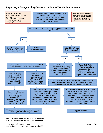# **Reporting a Safeguarding Concern within the Tennis Environment**



#### **\*SPC – Safeguarding and Protection Committee \*LRC – Licensing and Registration Committee**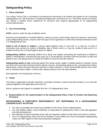# **Safeguarding Policy**

#### **1. Policy statement**

The Lydney Tennis Club is committed to prioritising the well-being of all children and adults at risk, promoting safeguarding in our club at all times, including all programmes and events we run. This Policy strives to minimise risk, deliver a positive tennis experience for everyone and respond appropriately to all safeguarding concerns/disclosures.

#### **2. Use of terminology**

**Child:** a person under the age of eighteen years.

Note that some legislation in Scotland defines a child as a person under sixteen years old. However, where there is any safeguarding concern, anyone under the age of 18 is regarded as a child unless advised otherwise by the LTA Safeguarding Team.

**Adult at risk of abuse or neglect:** a person aged eighteen years or over who is, or may be, in need of community care services by reason of disability, age or illness; and is, or may be, unable to take care of, or unable to protect him or herself against abuse or neglect.

**Safeguarding children:** protecting children from abuse and neglect, preventing the impairment of children's health or development, ensuring that they grow up in circumstances consistent with the provision of safe and effective care, and taking action to enable all children to have the best life chances.

**Safeguarding adults at risk:** protecting adults from abuse and/or neglect. Enabling adults to maintain control over their lives and make informed choices without coercion. Empowering adults at risk, consulting them before taking action, unless someone lacks the capacity to make a decision, or their mental health poses a risk to their own or someone else's safety, in which case, always acting in his or her best interests.

*(See appendix A for full glossary of terms)*.

#### **3. Scope**

This Policy is applicable to all staff, volunteers, committee members, coaches and club members. It is in line with national legislation and applicable across the UK.

Advice, guidance and support is available from the LTA Safeguarding Team.

#### **4. Responsibility for the implementation of the Safeguarding Policy, Code of Conduct and Reporting Procedure**

#### **SAFEGUARDING IS EVERYONE'S RESPONSIBILITY: NOT RESPONDING TO A SAFEGUARDING CONCERN IS NOT AN OPTION.**

- Our club's committee has overall accountability for this Policy and its implementation
- Our club Welfare Officer, Karen Geelhoed, is responsible for updating this Policy in line with legislative and club developments
- All individuals involved in/present at the club are required to adhere to the Policy and Code of Conduct
- The LTA Safeguarding Team and Tennis Scotland, Tennis Wales and Tennis Foundation Safeguarding Leads can offer support to help clubs proactively safeguard.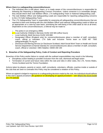#### **Where there is a safeguarding concern/disclosure:**

- The individual who is told about, hears, or is made aware of the concern/disclosure is responsible for following the Reporting a Safeguarding Concern Procedure. Unless someone is in immediate danger, they should inform their club Welfare Officer, LTA Safeguarding Team or National Safeguarding Lead.
- The club Welfare Officer and Safeguarding Leads are responsible for reporting safeguarding concerns to the LTA Safe Safeguarding Team.
- The LTA Safeguarding Team is responsible for assessing all safeguarding concern/disclosures that are reported to them and working with the club Welfare Officer and national Safeguarding Leads to follow up as appropriate on a case-by-case basis, prioritising the well-being of the child/ adult at risk at all times. Dependent on the concern/disclosure, a referral may be made to:
	- o The police in an emergency (999);
	- **o** Local Authority Children's Services 01452 426 565 (office hours)
	- o Local Authority Adult Services 01452 426 868
	- o Designated Officer (England only) for concerns/disclosures about a member of staff, consultant, coach, official or volunteer: LTA Safe and Inclusive Tennis team on 0208 487 7000 safeguarding@LTA.org.uk
	- o Disclosure and Barring Service (or Disclosure Scotland; Adult Social Work Team or Health and Social Service Department (Channel Islands) for concerns/disclosures about a member of staff, consultant, coach, official or volunteer: DBS Helpline: 03000 200 190

#### **5. Breaches of the Safeguarding Policy, Code of Conduct and Reporting Procedure**

Breaches of this Policy and/or failure to comply with the outlined responsibilities may result in the following:

- Disciplinary action leading to possible exclusion from the club, dismissal and legal action
- Termination of current and future roles within the club and roles in other clubs, the LTA, Tennis Wales, Tennis Scotland and the Tennis Foundation*.*

Actions taken by players, parents or carers, staff, consultants, volunteers, officials, coaches inside or outside of the club that are seen to contradict this Policy may be considered a violation of this Policy.

Where an appeal is lodged in response to a safeguarding decision made by the club, the individual should adhere to the club's appeal procedure *[for guidance on developing an appeal procedure – see [What's the Score toolkit](http://www.lta.org.uk/safeguarding) on LTA website.*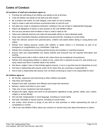# **Codes of Conduct**

#### **All members of staff and volunteers agree to:**

- Prioritise the well-being of all children and adults at risk at all times
- Treat all children and adults at risk fairly and with respect
- Be a positive role model. Act with integrity, even when no one is looking
- Help to create a safe and inclusive environment both on and off court
- Not allow any rough or dangerous behaviour, bullying or the use of bad or inappropriate language
- Report all allegations of abuse or poor practice to the club Welfare Officer
- Not use any sanctions that humiliate or harm a child or adult at risk
- Value and celebrate diversity and make all reasonable efforts to meet individual needs
- Keep clear boundaries between professional and personal life, including on social media
- Have the relevant consent from parents/carers, children and adults before taking or using photos and videos
- Refrain from making physical contact with children or adults unless it is necessary as part of an emergency or congratulatory (e.g. handshake / high five)
- Refrain from smoking and consuming alcohol during club activities or coaching sessions
- Ensure roles and responsibilities are clearly outlined and everyone has the required information and training
- Avoid being alone with a child or adult at risk unless there are exceptional circumstances
- Refrain from transporting children or adults at risk, unless this is required as part of a club activity (e.g. away match) and there is another adult in the vehicle
- Not abuse, neglect, harm or discriminate against anyone; or act in a way that may be interpreted as such
- Not have a relationship with anyone under 18 for whom they are coaching or responsible for
- Not to have a relationship with anyone over 18 whilst continuing to coach or be responsible for them

#### **All children agree to:**

- Be friendly, supportive and welcoming to other children and adults
- Play fairly and honestly
- Respect club staff, volunteers and Officials and accept their decisions
- Behave, respect and listen to your coach
- Take care of your equipment and club property
- Respect the rights, dignity and worth of all participants regardless of age, gender, ability, race, culture, religion or sexual identity
- Not use bad, inappropriate or racist language, including on social media
- Not bully, intimidate or harass anyone, including on social media
- Not smoke, drink alcohol or drugs of any kind on club premises or whilst representing the club at competitions or events
- Talk to the club Welfare Officer about any concerns or worries they have about themselves or others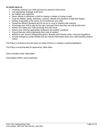#### **All adults agree to:**

- Positively reinforce your child and show an interest in their tennis
- Use appropriate language at all times
- Be realistic and supportive
- Never ridicule or admonish a child for making a mistake or losing a match
- Treat all children, adults, volunteers, coaches, officials and members of staff with respect
- Behave responsibly at the venue; do not embarrass your child
- Accept the official's decisions and do not go on court or interfere with matches
- Encourage your child to play by the rules, and teach them that they can only do their best
- Deliver and collect your child punctually from the venue
- Ensure your child has appropriate clothing for the weather conditions
- Ensure that your child understands their code of conduct
- Adhere to your venue's safeguarding policy, diversity and inclusion policy, rules and regulations
- Provide emergency contact details and any relevant information about your child including medical history

This Policy is reviewed every two years (or earlier if there is a change in national legislation).

This Policy is recommended for approval by: Nikki Salter

Club Committee Chair: Nikki Salter

Club Welfare Officer: Karen Geelhoed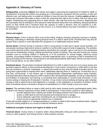# **Appendix A: Glossary of Terms**

**Safeguarding:** protecting **children** from abuse and neglect, preventing the impairment of children's health or development, ensuring that children are growing up in circumstances consistent with the provision of safe and effective care, and taking action to enable all children to have the best life chances. Enabling **adults at risk** to achieve the outcomes that matter to them in their life; protecting their right to live in safety, free from abuse and neglect. Empowering and supporting them to make choices, stay safe and raise any concerns. Beginning with the assumption that an individual is best-placed to make decisions about their own wellbeing, taking proportional action on their behalf only if someone lacks the capacity to make a decision, they are exposed to a lifethreatening risk, someone else may be at risk of harm, or a criminal offence has been committed or is likely to be committed.

#### **Abuse and neglect**

**Physical abuse:** A form of abuse which may involve hitting, shaking, throwing, poisoning, burning or scalding, drowning, suffocating or otherwise causing physical harm to a child or adult at risk. Physical harm may also be caused when a parent or carer fabricates the symptoms of, or deliberately induces illness

**Sexual abuse:** Involves forcing or enticing a child or young person to take part in abuse sexual activities, not necessarily involving a high level of violence, whether or not the child is aware of what is happening. The activities may involve physical contact, including assault by penetration (for example, rape or oral sex) or non-penetrative acts such as masturbation, kissing, rubbing and touching outside of clothing. They may also include non-contact activities, such as involving children in looking at, or in the production of, sexual images, watching sexual activities, encouraging children to behave in sexually inappropriate ways, or grooming a child in preparation for abuse (including via the internet). Sexual abuse is not solely perpetrated by adult males. Women can also commit acts of sexual abuse, as can other children

**Emotional abuse:** The persistent emotional maltreatment of a child or adult at risk such as to cause severe and persistent adverse effects on their emotional development. It may involve conveying to a child/ adult at risk that they are worthless or unloved, inadequate, or valued only insofar as they meet the needs of another person; not giving them opportunities to express their views; deliberately silencing them or 'making fun' of what they say or how they communicate. It may feature age or developmentally inappropriate expectations being imposed, including interactions that are beyond a child or adult at risk's developmental capability, as well as overprotection and limitation of exploration and learning, or preventing them participating in normal social interaction. It may involve seeing or hearing the ill-treatment of another. It may involve serious bullying (including cyber bullying), causing a child or adult at risk to feel frightened or in danger, or the exploitation or corruption of children. Some level of emotional abuse is involved in all types of maltreatment of a child, though it may occur alone.

**Neglect:** The persistent failure to meet a child/ adult at risk's basic physical and/or psychological needs, likely to result in the serious impairment of their health or development. It may involve a parent or carer failing to:

- $\circ$  provide adequate food, clothing and shelter (including exclusion from home or abandonment);
- $\circ$  protect a child/ adult at risk from physical and emotional harm or danger;
- $\circ$  ensure adequate supervision (including the use of inadequate care-givers); or
- o ensure access to appropriate medical care or treatment.

It may also include neglect of, or unresponsiveness to, a child's or adult at risk's basic emotional needs. Neglect may occur during pregnancy as a result of maternal substance abuse.

#### **Additional examples of abuse and neglect of adults at risk**

**Financial abuse**: having money or property stolen; being defrauded; being put under pressure in relation to money or other property; and having money or other property misused.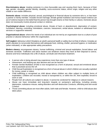**Discriminatory abuse**: treating someone in a less favourable way and causing them harm, because of their age, gender, sexuality, gender identity, disability, socio-economic status, ethnic origin, religion and any other visible or non-visible difference.

**Domestic abuse**: includes physical, sexual, psychological or financial abuse by someone who is, or has been a partner or family member. Includes forced marriage, female genital mutilation and honour-based violence (an act of violence based on the belief that the person has brought shame on their family or culture). Domestic abuse does not necessarily involve physical contact or violence.

**Psychological abuse:** including emotional abuse, threats of harm or abandonment, deprivation of contact, humiliation, blaming, controlling, intimidation, coercion, harassment, verbal abuse, isolation or withdrawal from services or supportive networks.

**Organisational abuse**: where the needs of an individual are not met by an organisation due to a culture of poor practice or abusive behaviour within the organisation.

**Self-neglect:** behaviour which threatens an adult's personal health or safety (but not that of others). Includes an adult's decision to not provide themselves with adequate food, clothing, shelter, personal hygiene, or medication (when indicated), or take appropriate safety precautions

**Modern slavery**: encompasses slavery, human trafficking, criminal and sexual exploitation, forced labour and domestic servitude. Traffickers and slave masters use whatever means they have at their disposal to coerce, deceive and force individuals into a life of abuse, servitude and inhumane treatment.

- A person who is being abused may experience more than one type of abuse
- Harassment, and bullying are also abusive and can be harmful
- Female Genital Mutilation (FGM) is now recognised as a form of physical, sexual and emotional abuse that is practised across the UK
- Child Sexual Exploitation is recognised as a form of sexual abuse in which children are sexually exploited for money, power or status
- Child trafficking is recognised as child abuse where children are often subject to multiple forms of exploitation. Children are recruited, moved or transported to, or within the UK, then exploited, forced to work or sold
- People from all cultures are subject to abuse. It cannot be condoned for religious or cultural reasons
- Abuse can have immediate and long-term impacts on someone's well-being, including anxiety, depression, substance misuse, eating disorders and self-destructive Conducts, offending and anti-social **Conduct**
- Those committing abuse are most often adults, both male and female. However, child-to-child abuse also takes place.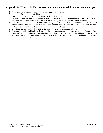### **Appendix B: What to do if a disclosure from a child or adult at risk is made to you:**

- 1. Reassure the child/adult that s/he is right to report the behaviour
- 2. Listen carefully and calmly to him/her
- 3. Keep questions to a minimum and never ask leading questions
- 4. Do not promise secrecy. Inform him/her that you must report your conversation to the LTA Safe and Inclusive Tennis Team (and the police in an emergency) because it is in his/her best interest
- 5. REPORT IT! If someone is in immediate danger call the police (999), otherwise talk to the LTA Safeguarding Team as soon as possible. Once reported, the Safe and Inclusive Tennis Team will work with you to ensure the safety and well-being of the child/ adult at risk
- 6. Do not permit personal doubt prevent you from reporting the concern/disclosure
- 7. Make an immediate objective written record of the conversation using the Reporting a Concern Form *(add link)*. Make certain you distinguish between what the person has actually said and the inferences you may have made. Your report should be sent to the LTA Safeguarding Team within 48 hours of the incident, who will store it safely.